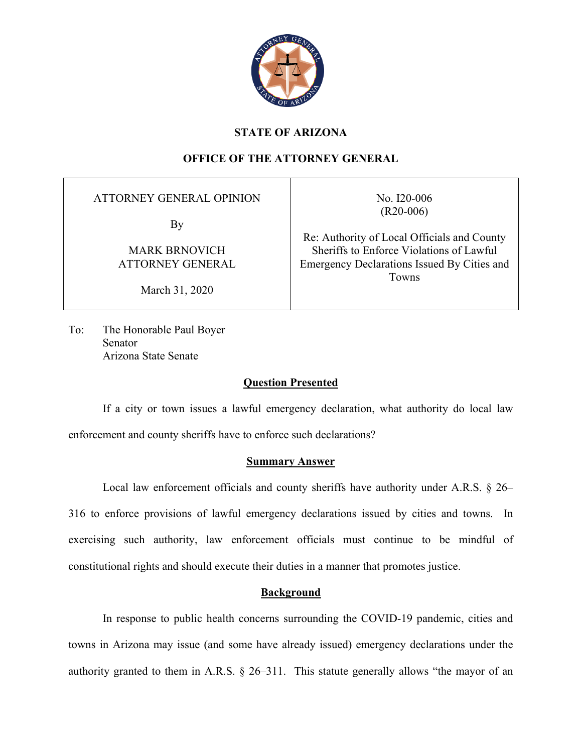

## **STATE OF ARIZONA**

# **OFFICE OF THE ATTORNEY GENERAL**

ATTORNEY GENERAL OPINION

By

MARK BRNOVICH ATTORNEY GENERAL

March 31, 2020

No. I20-006 (R20-006)

Re: Authority of Local Officials and County Sheriffs to Enforce Violations of Lawful Emergency Declarations Issued By Cities and Towns

To: The Honorable Paul Boyer Senator Arizona State Senate

### **Question Presented**

If a city or town issues a lawful emergency declaration, what authority do local law enforcement and county sheriffs have to enforce such declarations?

### **Summary Answer**

Local law enforcement officials and county sheriffs have authority under A.R.S. § 26– 316 to enforce provisions of lawful emergency declarations issued by cities and towns. In exercising such authority, law enforcement officials must continue to be mindful of constitutional rights and should execute their duties in a manner that promotes justice.

### **Background**

In response to public health concerns surrounding the COVID-19 pandemic, cities and towns in Arizona may issue (and some have already issued) emergency declarations under the authority granted to them in A.R.S. § 26–311. This statute generally allows "the mayor of an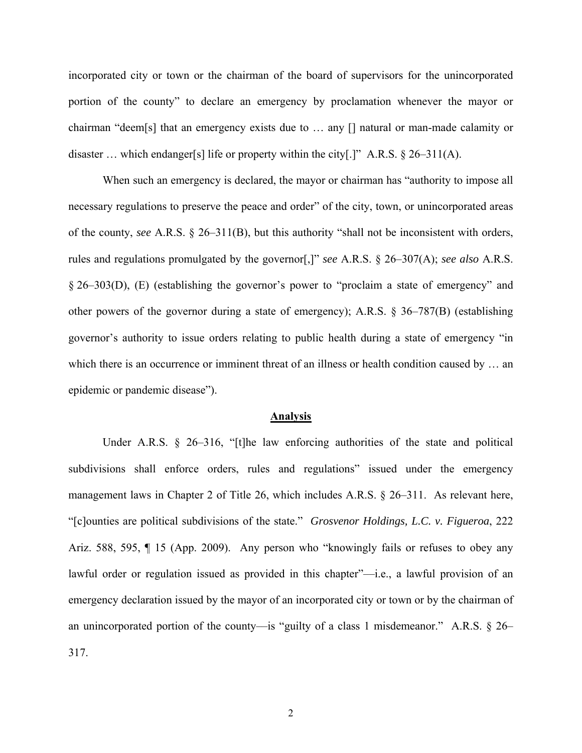incorporated city or town or the chairman of the board of supervisors for the unincorporated portion of the county" to declare an emergency by proclamation whenever the mayor or chairman "deem[s] that an emergency exists due to … any [] natural or man-made calamity or disaster ... which endanger[s] life or property within the city[.]" A.R.S.  $\S 26-311(A)$ .

When such an emergency is declared, the mayor or chairman has "authority to impose all necessary regulations to preserve the peace and order" of the city, town, or unincorporated areas of the county, *see* A.R.S. § 26–311(B), but this authority "shall not be inconsistent with orders, rules and regulations promulgated by the governor[,]" *see* A.R.S. § 26–307(A); *see also* A.R.S. § 26–303(D), (E) (establishing the governor's power to "proclaim a state of emergency" and other powers of the governor during a state of emergency); A.R.S. § 36–787(B) (establishing governor's authority to issue orders relating to public health during a state of emergency "in which there is an occurrence or imminent threat of an illness or health condition caused by ... an epidemic or pandemic disease").

#### **Analysis**

Under A.R.S. § 26–316, "[t]he law enforcing authorities of the state and political subdivisions shall enforce orders, rules and regulations" issued under the emergency management laws in Chapter 2 of Title 26, which includes A.R.S. § 26–311. As relevant here, "[c]ounties are political subdivisions of the state." *Grosvenor Holdings, L.C. v. Figueroa*, 222 Ariz. 588, 595, ¶ 15 (App. 2009). Any person who "knowingly fails or refuses to obey any lawful order or regulation issued as provided in this chapter"—i.e., a lawful provision of an emergency declaration issued by the mayor of an incorporated city or town or by the chairman of an unincorporated portion of the county—is "guilty of a class 1 misdemeanor." A.R.S.  $\S$  26– 317.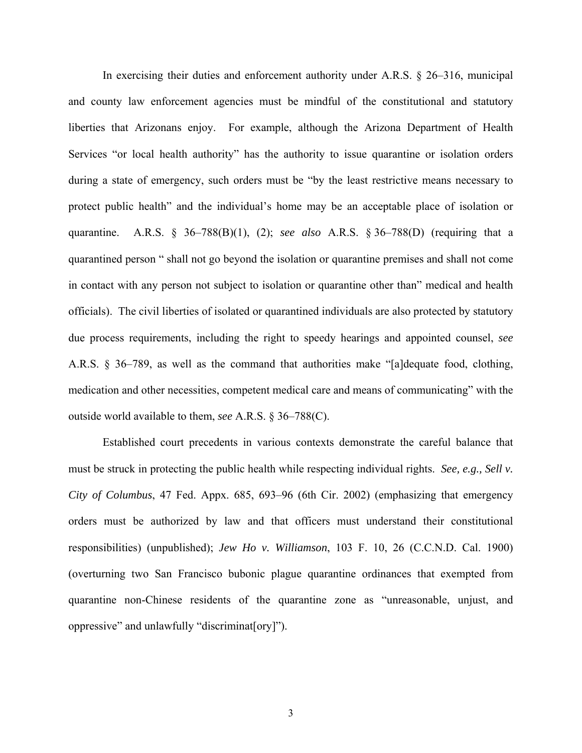In exercising their duties and enforcement authority under A.R.S. § 26–316, municipal and county law enforcement agencies must be mindful of the constitutional and statutory liberties that Arizonans enjoy. For example, although the Arizona Department of Health Services "or local health authority" has the authority to issue quarantine or isolation orders during a state of emergency, such orders must be "by the least restrictive means necessary to protect public health" and the individual's home may be an acceptable place of isolation or quarantine. A.R.S. § 36–788(B)(1), (2); *see also* A.R.S. § 36–788(D) (requiring that a quarantined person " shall not go beyond the isolation or quarantine premises and shall not come in contact with any person not subject to isolation or quarantine other than" medical and health officials). The civil liberties of isolated or quarantined individuals are also protected by statutory due process requirements, including the right to speedy hearings and appointed counsel, *see* A.R.S. § 36–789, as well as the command that authorities make "[a]dequate food, clothing, medication and other necessities, competent medical care and means of communicating" with the outside world available to them, *see* A.R.S. § 36–788(C).

Established court precedents in various contexts demonstrate the careful balance that must be struck in protecting the public health while respecting individual rights. *See, e.g., Sell v. City of Columbus*, 47 Fed. Appx. 685, 693–96 (6th Cir. 2002) (emphasizing that emergency orders must be authorized by law and that officers must understand their constitutional responsibilities) (unpublished); *Jew Ho v. Williamson*, 103 F. 10, 26 (C.C.N.D. Cal. 1900) (overturning two San Francisco bubonic plague quarantine ordinances that exempted from quarantine non-Chinese residents of the quarantine zone as "unreasonable, unjust, and oppressive" and unlawfully "discriminat[ory]").